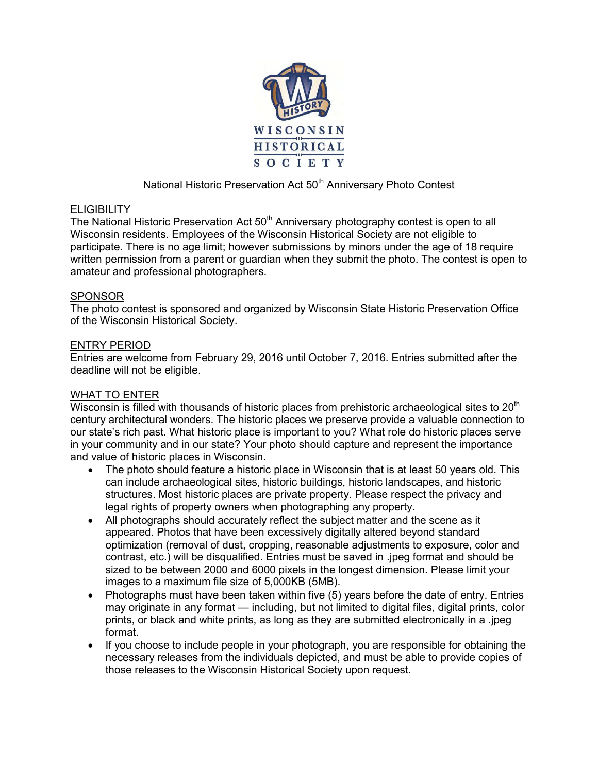

# National Historic Preservation Act 50<sup>th</sup> Anniversary Photo Contest

## **ELIGIBILITY**

The National Historic Preservation Act  $50<sup>th</sup>$  Anniversary photography contest is open to all Wisconsin residents. Employees of the Wisconsin Historical Society are not eligible to participate. There is no age limit; however submissions by minors under the age of 18 require written permission from a parent or guardian when they submit the photo. The contest is open to amateur and professional photographers.

#### SPONSOR

The photo contest is sponsored and organized by Wisconsin State Historic Preservation Office of the Wisconsin Historical Society.

#### ENTRY PERIOD

Entries are welcome from February 29, 2016 until October 7, 2016. Entries submitted after the deadline will not be eligible.

## WHAT TO ENTER

Wisconsin is filled with thousands of historic places from prehistoric archaeological sites to  $20<sup>th</sup>$ century architectural wonders. The historic places we preserve provide a valuable connection to our state's rich past. What historic place is important to you? What role do historic places serve in your community and in our state? Your photo should capture and represent the importance and value of historic places in Wisconsin.

- The photo should feature a historic place in Wisconsin that is at least 50 years old. This can include archaeological sites, historic buildings, historic landscapes, and historic structures. Most historic places are private property. Please respect the privacy and legal rights of property owners when photographing any property.
- All photographs should accurately reflect the subject matter and the scene as it appeared. Photos that have been excessively digitally altered beyond standard optimization (removal of dust, cropping, reasonable adjustments to exposure, color and contrast, etc.) will be disqualified. Entries must be saved in .jpeg format and should be sized to be between 2000 and 6000 pixels in the longest dimension. Please limit your images to a maximum file size of 5,000KB (5MB).
- Photographs must have been taken within five (5) years before the date of entry. Entries may originate in any format — including, but not limited to digital files, digital prints, color prints, or black and white prints, as long as they are submitted electronically in a .jpeg format.
- If you choose to include people in your photograph, you are responsible for obtaining the necessary releases from the individuals depicted, and must be able to provide copies of those releases to the Wisconsin Historical Society upon request.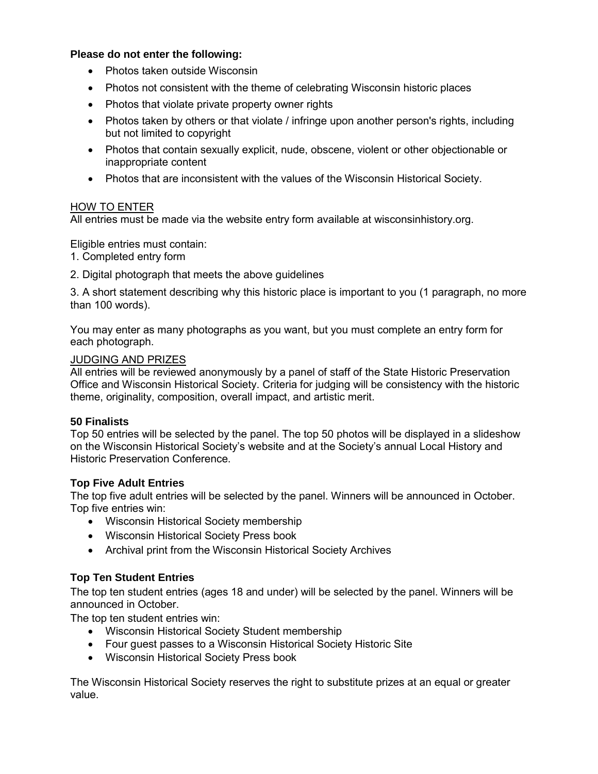# **Please do not enter the following:**

- Photos taken outside Wisconsin
- Photos not consistent with the theme of celebrating Wisconsin historic places
- Photos that violate private property owner rights
- Photos taken by others or that violate / infringe upon another person's rights, including but not limited to copyright
- Photos that contain sexually explicit, nude, obscene, violent or other objectionable or inappropriate content
- Photos that are inconsistent with the values of the Wisconsin Historical Society.

## HOW TO ENTER

All entries must be made via the website entry form available at wisconsinhistory.org.

Eligible entries must contain:

- 1. Completed entry form
- 2. Digital photograph that meets the above guidelines

3. A short statement describing why this historic place is important to you (1 paragraph, no more than 100 words).

You may enter as many photographs as you want, but you must complete an entry form for each photograph.

## JUDGING AND PRIZES

All entries will be reviewed anonymously by a panel of staff of the State Historic Preservation Office and Wisconsin Historical Society. Criteria for judging will be consistency with the historic theme, originality, composition, overall impact, and artistic merit.

## **50 Finalists**

Top 50 entries will be selected by the panel. The top 50 photos will be displayed in a slideshow on the Wisconsin Historical Society's website and at the Society's annual Local History and Historic Preservation Conference.

## **Top Five Adult Entries**

The top five adult entries will be selected by the panel. Winners will be announced in October. Top five entries win:

- Wisconsin Historical Society membership
- Wisconsin Historical Society Press book
- Archival print from the Wisconsin Historical Society Archives

## **Top Ten Student Entries**

The top ten student entries (ages 18 and under) will be selected by the panel. Winners will be announced in October.

The top ten student entries win:

- Wisconsin Historical Society Student membership
- Four guest passes to a Wisconsin Historical Society Historic Site
- Wisconsin Historical Society Press book

The Wisconsin Historical Society reserves the right to substitute prizes at an equal or greater value.